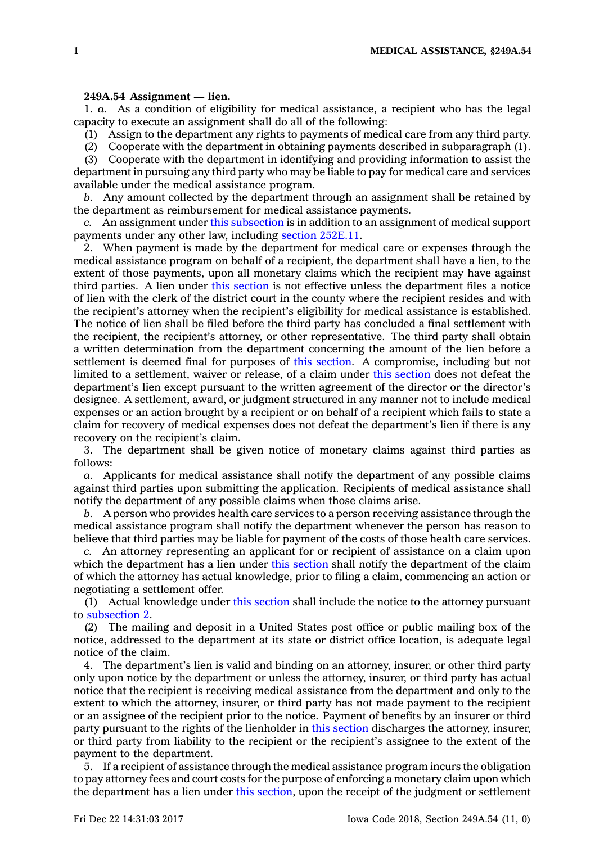## **249A.54 Assignment — lien.**

1. *a.* As <sup>a</sup> condition of eligibility for medical assistance, <sup>a</sup> recipient who has the legal capacity to execute an assignment shall do all of the following:

(1) Assign to the department any rights to payments of medical care from any third party.

(2) Cooperate with the department in obtaining payments described in subparagraph (1).

(3) Cooperate with the department in identifying and providing information to assist the department in pursuing any third party who may be liable to pay for medical care and services available under the medical assistance program.

*b.* Any amount collected by the department through an assignment shall be retained by the department as reimbursement for medical assistance payments.

*c.* An assignment under this [subsection](https://www.legis.iowa.gov/docs/code/249A.54.pdf) is in addition to an assignment of medical support payments under any other law, including section [252E.11](https://www.legis.iowa.gov/docs/code/252E.11.pdf).

2. When payment is made by the department for medical care or expenses through the medical assistance program on behalf of <sup>a</sup> recipient, the department shall have <sup>a</sup> lien, to the extent of those payments, upon all monetary claims which the recipient may have against third parties. A lien under this [section](https://www.legis.iowa.gov/docs/code/249A.54.pdf) is not effective unless the department files <sup>a</sup> notice of lien with the clerk of the district court in the county where the recipient resides and with the recipient's attorney when the recipient's eligibility for medical assistance is established. The notice of lien shall be filed before the third party has concluded <sup>a</sup> final settlement with the recipient, the recipient's attorney, or other representative. The third party shall obtain <sup>a</sup> written determination from the department concerning the amount of the lien before <sup>a</sup> settlement is deemed final for purposes of this [section](https://www.legis.iowa.gov/docs/code/249A.54.pdf). A compromise, including but not limited to <sup>a</sup> settlement, waiver or release, of <sup>a</sup> claim under this [section](https://www.legis.iowa.gov/docs/code/249A.54.pdf) does not defeat the department's lien except pursuant to the written agreement of the director or the director's designee. A settlement, award, or judgment structured in any manner not to include medical expenses or an action brought by <sup>a</sup> recipient or on behalf of <sup>a</sup> recipient which fails to state <sup>a</sup> claim for recovery of medical expenses does not defeat the department's lien if there is any recovery on the recipient's claim.

3. The department shall be given notice of monetary claims against third parties as follows:

*a.* Applicants for medical assistance shall notify the department of any possible claims against third parties upon submitting the application. Recipients of medical assistance shall notify the department of any possible claims when those claims arise.

*b.* A person who provides health care services to <sup>a</sup> person receiving assistance through the medical assistance program shall notify the department whenever the person has reason to believe that third parties may be liable for payment of the costs of those health care services.

*c.* An attorney representing an applicant for or recipient of assistance on <sup>a</sup> claim upon which the department has a lien under this [section](https://www.legis.iowa.gov/docs/code/249A.54.pdf) shall notify the department of the claim of which the attorney has actual knowledge, prior to filing <sup>a</sup> claim, commencing an action or negotiating <sup>a</sup> settlement offer.

(1) Actual knowledge under this [section](https://www.legis.iowa.gov/docs/code/249A.54.pdf) shall include the notice to the attorney pursuant to [subsection](https://www.legis.iowa.gov/docs/code/249A.54.pdf) 2.

(2) The mailing and deposit in <sup>a</sup> United States post office or public mailing box of the notice, addressed to the department at its state or district office location, is adequate legal notice of the claim.

4. The department's lien is valid and binding on an attorney, insurer, or other third party only upon notice by the department or unless the attorney, insurer, or third party has actual notice that the recipient is receiving medical assistance from the department and only to the extent to which the attorney, insurer, or third party has not made payment to the recipient or an assignee of the recipient prior to the notice. Payment of benefits by an insurer or third party pursuant to the rights of the lienholder in this [section](https://www.legis.iowa.gov/docs/code/249A.54.pdf) discharges the attorney, insurer, or third party from liability to the recipient or the recipient's assignee to the extent of the payment to the department.

5. If <sup>a</sup> recipient of assistance through the medical assistance program incurs the obligation to pay attorney fees and court costs for the purpose of enforcing <sup>a</sup> monetary claim upon which the department has <sup>a</sup> lien under this [section](https://www.legis.iowa.gov/docs/code/249A.54.pdf), upon the receipt of the judgment or settlement